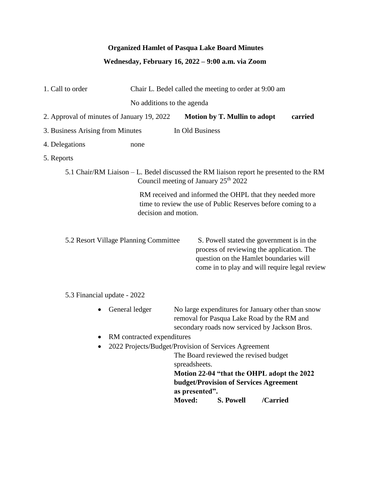## **Organized Hamlet of Pasqua Lake Board Minutes**

## **Wednesday, February 16, 2022 – 9:00 a.m. via Zoom**

| 1. Call to order                                                                                                                                | Chair L. Bedel called the meeting to order at 9:00 am |                              |                                                                                                                                                                                   |  |  |  |  |  |
|-------------------------------------------------------------------------------------------------------------------------------------------------|-------------------------------------------------------|------------------------------|-----------------------------------------------------------------------------------------------------------------------------------------------------------------------------------|--|--|--|--|--|
|                                                                                                                                                 | No additions to the agenda                            |                              |                                                                                                                                                                                   |  |  |  |  |  |
| 2. Approval of minutes of January 19, 2022                                                                                                      |                                                       | Motion by T. Mullin to adopt | carried                                                                                                                                                                           |  |  |  |  |  |
| In Old Business<br>3. Business Arising from Minutes                                                                                             |                                                       |                              |                                                                                                                                                                                   |  |  |  |  |  |
| 4. Delegations                                                                                                                                  | none                                                  |                              |                                                                                                                                                                                   |  |  |  |  |  |
| 5. Reports                                                                                                                                      |                                                       |                              |                                                                                                                                                                                   |  |  |  |  |  |
| 5.1 Chair/RM Liaison – L. Bedel discussed the RM liaison report he presented to the RM<br>Council meeting of January 25 <sup>th</sup> 2022      |                                                       |                              |                                                                                                                                                                                   |  |  |  |  |  |
| RM received and informed the OHPL that they needed more<br>time to review the use of Public Reserves before coming to a<br>decision and motion. |                                                       |                              |                                                                                                                                                                                   |  |  |  |  |  |
| 5.2 Resort Village Planning Committee                                                                                                           |                                                       |                              | S. Powell stated the government is in the<br>process of reviewing the application. The<br>question on the Hamlet boundaries will<br>come in to play and will require legal review |  |  |  |  |  |
| 5.3 Financial update - 2022                                                                                                                     |                                                       |                              |                                                                                                                                                                                   |  |  |  |  |  |
| General ledger                                                                                                                                  |                                                       |                              | No large expenditures for January other than snow<br>removal for Pasqua Lake Road by the RM and<br>secondary roads now serviced by Jackson Bros.                                  |  |  |  |  |  |
| RM contracted expenditures                                                                                                                      |                                                       |                              |                                                                                                                                                                                   |  |  |  |  |  |

• 2022 Projects/Budget/Provision of Services Agreement

The Board reviewed the revised budget spreadsheets.  **Motion 22-04 "that the OHPL adopt the 2022 budget/Provision of Services Agreement as presented". Moved: S. Powell /Carried**